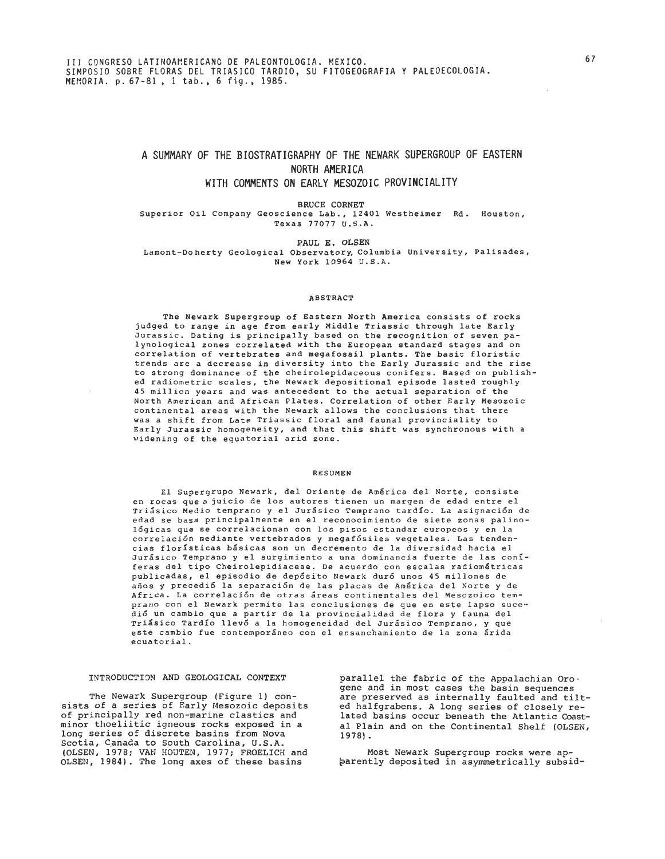# **A SUMMARY OF THE BIOSTRATIGRAPHY OF THE NEWARK SUPERGROUP OF EASTERN NORTH AMERICA**

# **WITH COMMENTS ON EARLY MESOZOIC PROVINCIALITY**

BRUCE CORNET

Superior Oil Company Geoscience Lab., 12401 Westheimer Rd. Houston, Texas 77077 U.S.A.

**PAUL E. OLSEN**  Lamont-Doherty Geological Observatory,Columbia University, Palisades, New York 10964 U.S.A.

### ABSTRACT

The Newark Supergroup of Eastern North America consists of rocks judged to range in age from early Middle Triassic through late Early Jurassic. Dating is principally based on the recognition of seven palynological zones correlated with the European standard stages and on correlation of vertebrates and megafossil plants. The basic floristic trends are a decrease in diversity into the Early Jurassic and the rise to strong dominance of the cheirolepidaceous conifers. Based on published radiometric scales, the Newark depositional episode lasted roughly 45 million years and was antecedent to the actual separation of the North American and African Plates. Correlation of other Early Mesozoic continental areas with the Newark allows the conclusions that there was a shift from Late Triassic floral and faunal provinciality to Early Jurassic homogeneity, and that this shift was synchronous with a widening of the equatorial arid zone.

# **RESUMEN**

El Supergrupo Newark, del Oriente de America del Norte, consiste en rocas quea juicio de 10s autores tienen un margen de edad entre el Triásico Medio temprano y el Jurásico Temprano tardío. La asignación de edad se basa principalmente en el reconocimiento de siete zonas palinológicas que se correlacionan con los pisos estandar europeos y en la correlación mediante vertebrados y megafósiles vegetales. Las tendencias floristicas basicas son un decrement0 de la diversidad hacia el Jurásico Temprano y el surgimiento a una dominancia fuerte de las coníferas del tipo Cheirolepidiaceae. De acuerdo con escalas radiom6tricas publicadas, el episodio de depósito Newark duró unos 45 millones de años y precedió la separación de las placas de América del Norte y de Africa. La correlaci6n de otras areas continentales del Mesozoico temprano con el Newark permite las conclusiones de que en este lapso sucedi6 un cambio que a partir de la provincialidad de flora y fauna del Triasico Tardio llev6 a la homogeneidad del Jurasico Temprano, y que este cambio fue contemporáneo con el ensanchamiento de la zona árida ecuatorial.

## INTRODUCTION AND GEOLOGICAL CONTEXT

The Newark Supergroup (Figure 1) con-<br>sists of a series of Early Mesozoic deposits of principally red non-marine elastics and minor thoeliitic igneous rocks exposed in a long series of discrete basins from Nova Scotia, Canada to South Carolina, U.S.A. (OLSEN, 1978; VAN HOUTEN, 1977; FROELICH and OLSEN, 1984). The long axes of these basins

parallel the fabric of the Appalachian Oroare preserved as internally faulted and tilted halfgrabens. A long series of closely re- lated basins occur beneath the Atlantic Coastal Plain and on the Continental Shelf (OLSEM, 1978).

Most Newark Supergroup rocks were apbarently deposited in asymmetrically subsid-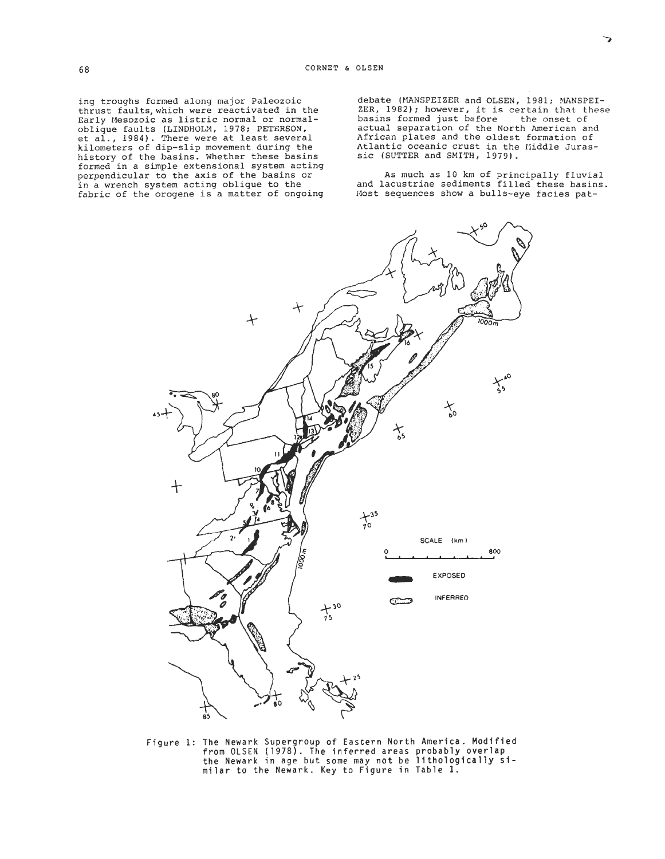ing troughs formed along major Paleozoic thrust faults,which were reactivated in the Early Hesozoic as listric normal or normaloblique faults (LINDHOLM, 1978; PETERSON, et al., 1984). There were at least several kilometers of dip-slip movement during the history of the basins. Whether these basins formed in a simple extensional system acting<br>perpendicular to the axis of the basins or in a wrench system acting oblique to the fabric of the orogene is a matter of ongoing

debate (MANSPEIZER and OLSEN, 1981; MANSPEI- $ZER$ , 1982); however, it is certain that these basins formed just before the onset of basins formed just before actual separation of the North American and African plates and the oldest formation of Atlantic oceanic crust in the liiddle Jurassic (SUTTER and SMITH, 1979).

As much as 10 km of principally fluvial and lacustrine sediments filled these basins. Host sequences show a bulls-eye facies pat-

**0 800** 

 $X_{55}^{40}$ 

INFERRED



**Figure 1: The Newark Supergroup of Eastern North America. Modified from OLSEN (1978). The inferred areas probably overlap the Newark in age but some may not be lithologically si-milar to the Newark. Key to Figure in Table 1.** 

 $+30$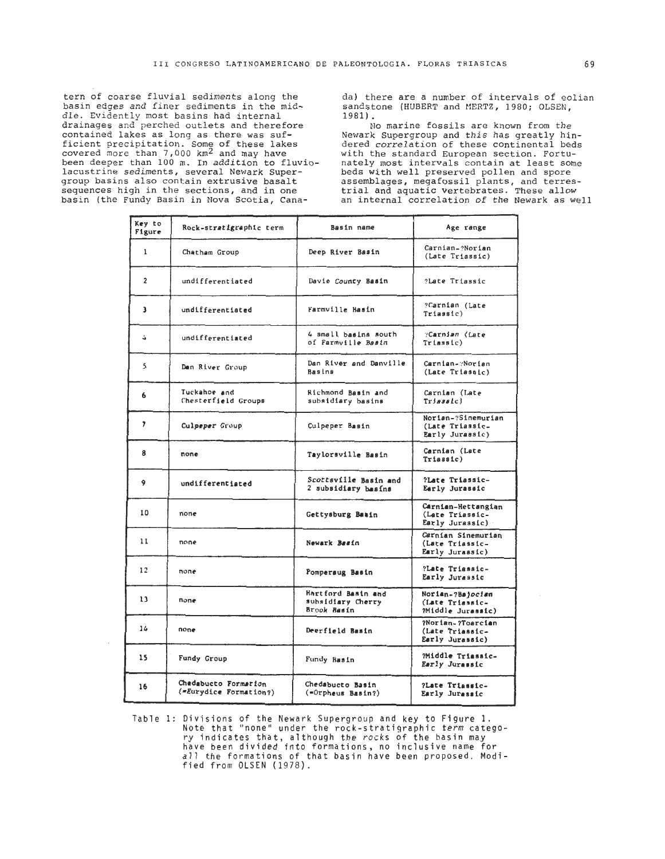tern of coarse fluvial sediments along the basin edges and finer sediments in the middle. Evidently most basins had internal drainages and perched outlets and therefore contained lakes as long as there was sufficient precipitation. Some of these lakes<br>covered more than 7,000 km<sup>2</sup> and may have been deeper than 100 m. In addition to fluviolacustrine sediments, several Newark Supergroup basins also contain extrusive basalt sequences high in the sections, and in one basin (the Fundy Basin in Nova Scotia, Canada) there are a number of intervals of eolian sandstone (HUBERT and MERTZ, 1980; OLSEN, 1981).

No marine fossils are known from the Newark Supergroup and this has greatly hindered correlation of these continental beds with the standard European section. Fortunately most intervals contain at least some beds with well preserved pollen and spore assemblages, megafossil plants, and terres-<br>trial and aquatic vertebrates. These allow an internal correlation of the Newark as well

| Key to<br>Figure | Rock-stratigraphic term                        | Basin name                                             | Age range                                                |
|------------------|------------------------------------------------|--------------------------------------------------------|----------------------------------------------------------|
| $\mathbf{1}$     | Chatham Group                                  | Deep River Basin                                       | Carnian-?Norian<br>(Late Triassic)                       |
| $\overline{2}$   | undifferentiated                               | Davie County Basin                                     | ?Late Triassic                                           |
| 3                | undifferentiated                               | Farmville Basin                                        | ?Carnian (Late<br>Triasfc)                               |
| $\rightarrow$    | undifferentiated                               | 4 small basins south<br>of Farmville Basin             | "Carnian (Late<br>Triassic)                              |
| 5                | Dan River Group                                | Dan River and Danville<br>Basins                       | Carnian- Norian<br>(Late Triassic)                       |
| 6                | Tuckahoe and<br>Chesterfield Groups            | Richmond Basin and<br>subsidiary basins                | Carnian (Late<br>Trifasb(c)                              |
| ,                | Culpeper Group                                 | Culpeper Basin                                         | Norian-?Sinemurian<br>(Late Triassic-<br>Early Jurassic) |
| 8                | none                                           | Taylorsville Basin                                     | Carnian (Late<br>Triassic)                               |
| 9                | undifferentiated                               | Scottsville Basin and<br>2 subsidiary basins           | ?Late Triassic-<br>Early Jurassic                        |
| 10               | none                                           | Gettysburg Basin                                       | Carnian-Hettangian<br>(Late Triassic-<br>Early Jurassic) |
| 11               | none                                           | Newark Basin                                           | Carnian Sinemurian<br>(Late Triassic-<br>Early Jurassic) |
| 12               | none                                           | Pomperaug Basin                                        | ?Late Triassic-<br>Early Jurassic                        |
| 13               | none                                           | Hartford Basin and<br>subsidiary Cherry<br>Brook Basin | Norian-?Bajocian<br>(Late Triassic-<br>?Middle Jurassic) |
| 14               | none                                           | Deerfield Basin                                        | ?Norian-?Toarcian<br>(Late Triassic-<br>Early Jurassic)  |
| 15               | Fundy Group                                    | Fundy Basin                                            | ?Middle Triassic-<br>Early Jurassic                      |
| 16               | Chedabucto Formation<br>(=Eurydice Formation?) | Chedabucto Basin<br>(=Orpheus Basin?)                  | ?Late Triassic-<br>Early Jurassic                        |

Table 1: Divisions of the Newark Supergroup and key to Figure 1.<br>Note that "none" under the rock-stratigraphic term catego-<br>ry indicates that, although the rocks of the basin may<br>have been divided into formations, no inclu all the formations of that basin have been proposed. Modified from OLSEN (1978).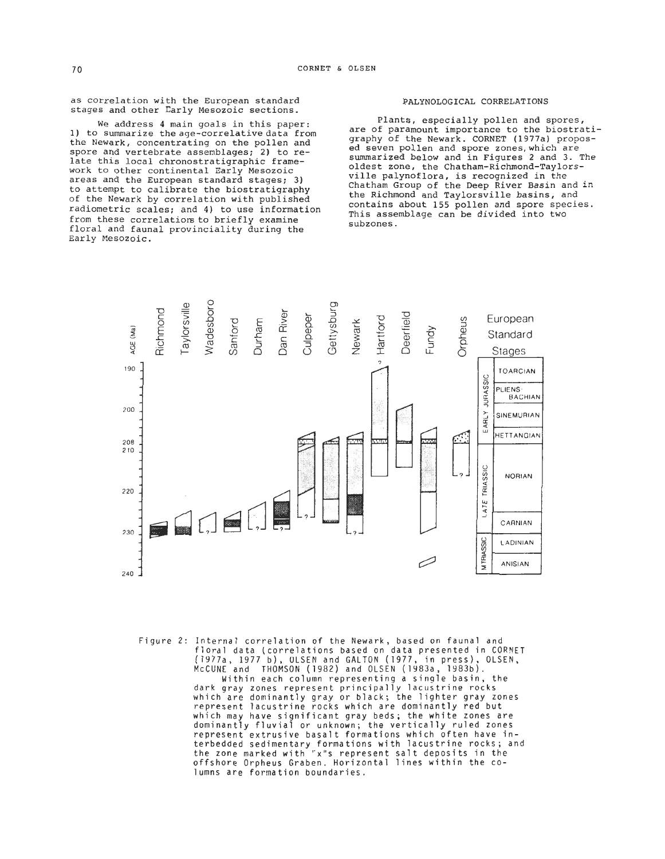as correlation with the European standard stages and other Early Mesozoic sections.

We address 4 main goals in this paper: 1) to summarize the age-correlative data from the Newark, concentrating on the pollen and<br>spore and vertebrate assemblages; 2) to relate this local chronostratigraphic frame-<br>work to other continental Early Mesozoic areas and the European standard stages; 3) to attempt to calibrate the biostratigraphy of the Newark by correlation with published radiometric scales; and 4) to use information from these correlations to briefly examine floral and faunal provinciality during the Early Mesozoic.

# PALYNOLOGICAL CORRELATIONS

Plants, especially pollen and spores, are of paramount importance to the biostratigraphy of the Newark. CORNET (1977a) propos-<br>ed seven pollen and spore zones, which are summarized below and in Figures 2 and 3. The oldest zone, the **Chatham-Richmond-Taylors**ville palynoflora, is recognized in the Chatham Group of the Deep River Basin and in the Richmond and Taylorsville basins, and contains about 155 pollen and spore species. This assemblage can be divided into two subzones.



Figure 2: Internal correlation of the Newark, based on faunal and floral data (correlations based on data presented in CORNET (1977a, 1977 b), ULSEN and GALTON (1977, in press), OLSEN, McCUNE and THOMSON (1982) and OLSEN (1983a, 1983b). Within each column representing a single basin, the dark gray zones represent principally lacustrine rocks which are dominantly gray or black; the lighter gray zones represent lacustrine rocks which are dominantly red but which may have significant gray beds; the white zones are dominantly fluvial or unknown; the vertically ruled zones represent extrusive basalt formations which often have interbedded sedimentary formations with lacustrine rocks; and the zone marked with "x"s represent salt deposits in the offshore Orpheus Graben. Horizontal lines within the columns are forma tion boundaries.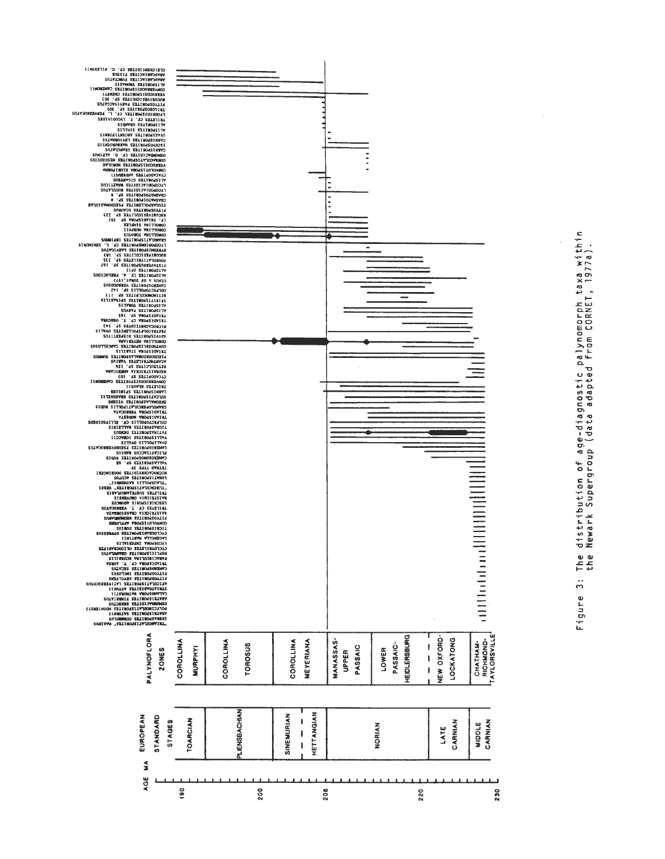

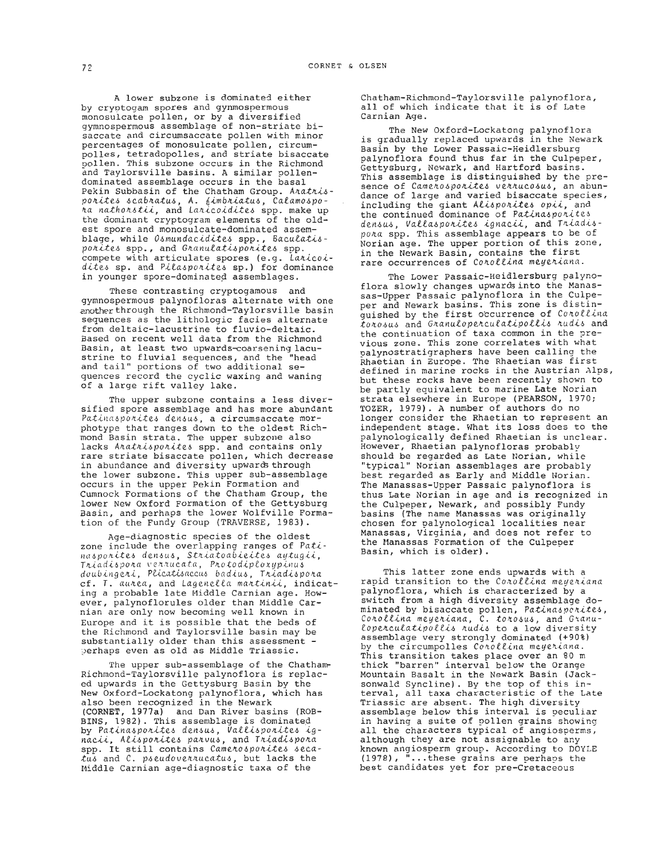by cryptogam spores and gymmospermous all of which indicate that it is of that it is of that it is of Late it is of Late it is of Late it is one of Late it is one of Late it is one of Late it is one of Late it is one of La monosulcate pollen, or by a diversified gymnospermous assemblage of non-striate bisaccate and circumsaccate pollen with minor percentages of monosulcate pollen, circumpolles, tetradopolles, and striate bisaccate pollen. This subzone occurs in the Richmond and Taylorsville basins. A similar pollendominated assemblage occurs in the basal Pekin Subbasin of the Chatham Group. Anathis-Pekin Subbasin of the Chatham Group. A*natnis-*<br>po*nites scabnatus, A. fimbniatus, Calamospo-*<br>na na*thonstii,* and Lanicoidites spp. make up the dominant cryptogram elements of the oldest spore and monosulcate-dominated assem-<br>blage, while Osmundacidites spp., Baculatisponites spp., and Granulatisporites spp.  $\zeta$  compete with articulate spores (e.g. Lanicoidites sp. and Pilasponites sp.) for dominance in younger spore-dominated assemblages.

These contrasting cryptogamous and gymnospermous palynofloras alternate with one another through the Richmond-Taylorsville basin sequences as the lithologic facies alternate from deltaic-lacustrine to fluvio-deltaic. Based on recent well data from the Richmond Basin, at least two upwards-coarsening lacustrine to fluvial sequences, and the "head and tail" portions of two additional sequences record the cyclic waxing and waning of a large rift valley lake.

The upper subzone contains a less diversified spore assemblage and has more abundant<br>Patinasporites densus, a circumsaccate morphotype that ranges down to the oldest Richmond Basin strata. The upper subzone also<br>lacks Atattispotites spp. and contains only rare striate bisaccate pollen, which decrease in abundance and diversity upwards through the lower subzone. This upper sub-assemblaoe occurs in the upper Pekin Formation and Cumnock Formations of the Chatham Group, the lower New Oxford Formation of the Gettysburg Basin, and perhaps the lower Wolfville Formation of the Fundy Group (TRAVERSE, 1983).

Age-diagnostic species of the oldest zone include the overlapping ranges of Patinasporites densus, Striatoabieites aytugii, Triadispora verrucata, Protodiploxypinus doubingeri, Plicatisaccus badius, Triadispora cf. T. aurea, and Lagenella martinii, indicating a probable late Middle Carnian age. However, palynoflorules older than Middle Carnian are only now becoming well known in Europe and it is possible that the beds of the Richmond and Taylorsville basin may be substantially older than this assessment perhaps even as old as Middle Triassic.

The upper sub-assemblage of the Chatham-Richmond-Taylorsville palynoflora is replaced upwards in the Gettysburg Basin by the New Oxford-Lockatong palynoflora, which has also been recognized in the Newark (CORNET, 1977a) and Dan River basins (ROB-BINS, 1982). This assemblage is dominated by Patinasponites densus, Vallisponites igby Patinasporites densus, Vallisporites ig-<br>nacii, Alisporites parvus, and Triadispora<br>spp. It still contains Camerosporites secatus and C. pseudoverrucatus, but lacks the Middle Carnian age-diagnostic taxa of the

A lower subzone is dominated either Chatham-Richmond-Taylorsville palynoflora,<br>
votogam spores and gynmospermous all of which indicate that it is of Late

The New Oxford-Lockatong palynoflora is gradually replaced upwards in the Newark Basin by the Lower Passaic-Heidlersburg palynoflora found thus far in the Culpeper, Gettysburg, Newark, and Hartford basins. This assemblage is distinguished by the pre-<br>sence of Camerosporites verrucosus, an abundance of large and varied bisaccate species, including the giant Alisponites opii. and the continued dominance of Patinasporites densus, Vallasporites ignacii, and Triadispota spp. This assemblage appears to be of Norian age. The upper portion of this zone, in the Newark Basin, contains the first rare occurrences of Conollina meyeniana.

The Lower Passaic-Heidlersburg palynoflora slowly changes upwardsinto the Manassas-Upper Passaic palynoflora in the Culpeper and Newark basins. This zone is distinquished by the first occurrence of Conollina toiobub and *Gianutope~tcutat¥(.potii* mdib and the continuation of taxa common in the previous zone. This zone correlates with what palynostratigraphers have been calling the Rhaetian in Europe. The Rhaetian was first defined in marine rocks in the Austrian Alps, but these rocks have been recently shown to be partly equivalent to marine Late Norian strata elsewhere in Europe (PEARSON, 1970;<br>TOZER, 1979). A number of authors do no longer consider the Rhaetian to represent an independent stage. What its loss does to the palynologically defined Rhaetian is unclear. However, Rhaetian palynofloras probably should be regarded as Late Norian, while 'typical" Norian assemblages are probably best regarded as Early and Middle Norian. The Manassas-Upper Passaic palynoflora is thus Late Norian in age and is recognized in the Culpeper, Newark, and possibly Fundy basins (The name Manassas was originally chosen for palynoloqical localities near Manassas, Virginia, and does not refer to the Manassas Formation of the Culpeper Basin, which is older).

This latter zone ends upwards with a<br>rapid transition to the Cotollina meyetiana<br>palynoflora, which is characterized by a switch from a high diversity assemblage dominated by bisaccate pollen, Patinasperites, Corollina meyeriana, C. torosus, and Granu $l$ operculatipollis rudis to a low diversity assemblage very strongly dominated (+go%) by the circumpolles Corollina meyeriana. This transition takes place over an 80 m thick "barren" interval below the Orange Mountain Basalt in the Newark Basin (Jacksonwald Syncline). By the top of this interval, all taxa characteristic of the Late Triassic are absent. The high diversity assemblage below this interval is peculiar in having a suite of pollen grains showing all the characters typical of angiosperms, although they are not assignable to any known angiosperm group. According to DOYLE **(1978),** "...these grains are perhaos the best candidates yet for pre-Cretaceous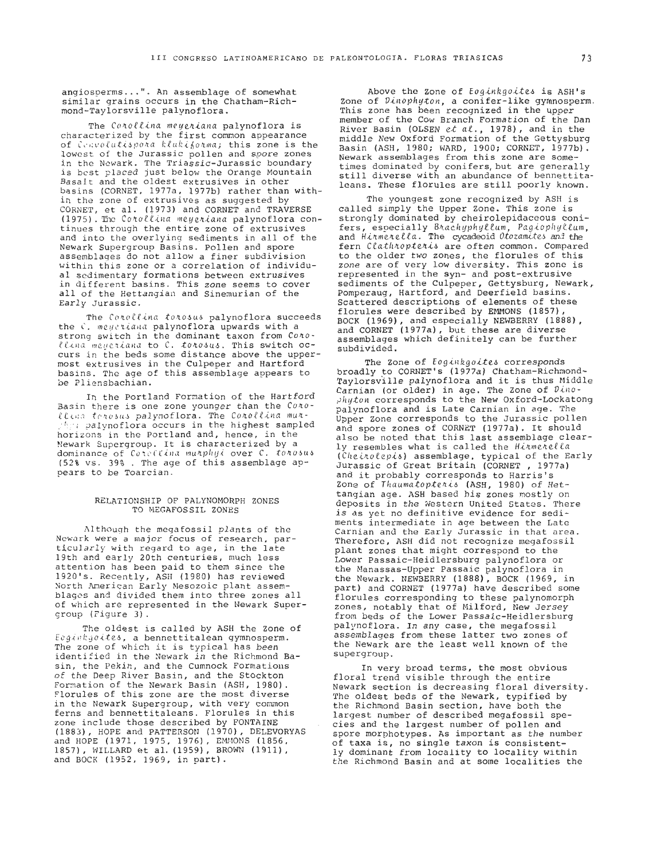angiosperms...". An assemblage of somewhat similar grains occurs in the Chatham-Richmond-Taylorsville palynoflora.

The Conollina meyeniana palynoflora is characterized by the first common appearance of Convolutispora klukiforma; this zone is the lowest of the Jurassic pollen and spore zones in the Newark. The Triassic-Jurassic boundary is best placed just below the Orange Mountain Basalt and the oldest extrusives in other basins (CORNET, 1977a, 1977b) rather than within the zone of extrusives as suggested by CORNET, et al. (1973) and CORNET and TRAVERSE (1975). The Corollina meyeriana palynoflora continues through the entire zone of extrusives and into the overlying sediments in all of the Newark Supergroup Basins. Pollen and spore assemblages do not allow a finer subdivision within this zone or a correlation of individual sedimentary formations between extrusives in different basins. This zone seems to cover all of the Hettangian and Sinemurian of the Early Jurassic.

The Corollina torosus palynoflora succeeds the C. megetiana palynoflora upwards with a strong switch in the dominant taxon from Conollina meyeriana to C. torosus. This switch occurs in the beds some distance above the uppermost extrusives in the Culpeper and Hartford basins. The age of this assemblage appears to be Pliensbachian.

In the Portland Formation of the Hartford Basin there is one zone younger than the Cono*llina* terosus palynoflora. The Corollina munand palynoflora occurs in the highest sampled horizons in the Portland and, hence, in the Newark Supergroup. It is characterized by a dominance of Cutellina munphyl over C. tonosus (52% vs. 39% . The age of this assemblage appears to be Toarcian.

# RELATIONSHIP OF PALYNOMORPH ZONES TO MEGAFOSSIL ZONES

Although the megafossil plants of the Newark were a major focus of research, particularly with regard to age, in the late 19th and early 20th centuries, much less attention has been paid to them since the 1920's. Recently, ASH (1980) has reviewed North American Early Mesozoic plant assemblages and divided them into three zones all of which are represented in the Newark Supergroup  $(Figure 3)$ .

The oldest is called by ASH the Zone of Esginkgoites, a bennettitalean gymnosperm. The zone of which it is typical has been identified in the Newark in the Richmond Basin, the Pekin, and the Cumnock Formations of the Deep River Basin, and the Stockton Formation of the Newark Basin (ASH, 1980). Florules of this zone are the most diverse in the Newark Supergroup, with very common ferns and bennettitaleans. Florules in this zone include those described by FONTAINE<br>(1883), HOPE and PATTERSON (1970), DELEVORYAS and HOPE (1971, 1975, 1976), EMMONS (1856, 1857), WILLARD et al. (1959), BROWN (1911), and BOCK (1952, 1969, in part).

Above the Zone of Eoginkgoites is ASH's cone of *Dinophyton*, a conifer-like gymnosperm.<br>This zone has been recognized in the upper member of the Cow Branch Formation of the Dan River Basin (OLSEN et al., 1978), and in the middle New Oxford Formation of the Gettysburg Basin (ASH, 1980; WARD, 1900; CORNET, 1977b). Newark assemblages from this zone are sometimes dominated by conifers, but are generally still diverse with an abundance of bennettitaleans. These florules are still poorly known.

The youngest zone recognized by ASH is called simply the Upper Zone. This zone is strongly dominated by cheirolepidaceous conifers, especially Brachyphyllum, Pagiophyllum,<br>and Hirmerella. The cycadeoid Otozamites and the fern Clathropteris are often common. Compared to the older two zones, the florules of this zone are of very low diversity. This zone is represented in the syn- and post-extrusive sediments of the Culpeper, Gettysburg, Newark, Pomperaug, Hartford, and Deerfield basins. Scattered descriptions of elements of these florules were described by EMMONS (1857), BOCK (1969), and especially NEWBERRY (1888), and CORNET (1977a), but these are diverse assemblages which definitely can be further subdivided

The Zone of Esqinkgoites corresponds broadly to CORNET's (1977a) Chatham-Richmond-Taylorsville palynoflora and it is thus Middle Carnian (or older) in age. The Zone of Dinophyton corresponds to the New Oxford-Lockatong palynoflora and is Late Carnian in age. The Upper Zone corresponds to the Jurassic pollen and spore zones of CORNET (1977a). It should also be noted that this last assemblage clearly resembles what is called the Hirmerella (Cheinolepis) assemblage, typical of the Early<br>Jurassic of Great Britain (CORNET, 1977a) and it probably corresponds to Harris's Zone of Thaumatopteris (ASH, 1980) of Hettangian age. ASH based his zones mostly on deposits in the Western United States. There is as yet no definitive evidence for sediments intermediate in age between the Late Carnian and the Early Jurassic in that area. Therefore, ASH did not recognize megafossil plant zones that might correspond to the Lower Passaic-Heidlersburg palynoflora or the Manassas-Upper Passaic palynoflora in the Newark. NEWBERRY (1888), BOCK (1969, in part) and CORNET (1977a) have described some florules corresponding to these palynomorph<br>zones, notably that of Milford, New Jersey from beds of the Lower Passaic-Heidlersburg palynoflora. In any case, the megafossil assemblages from these latter two zones of the Newark are the least well known of the supergroup.

In very broad terms, the most obvious floral trend visible through the entire Newark section is decreasing floral diversity. The oldest beds of the Newark, typified by the Richmond Basin section, have both the<br>largest number of described megafossil species and the largest number of pollen and spore morphotypes. As important as the number of taxa is, no single taxon is consistently dominant from locality to locality within<br>the Richmond Basin and at some localities the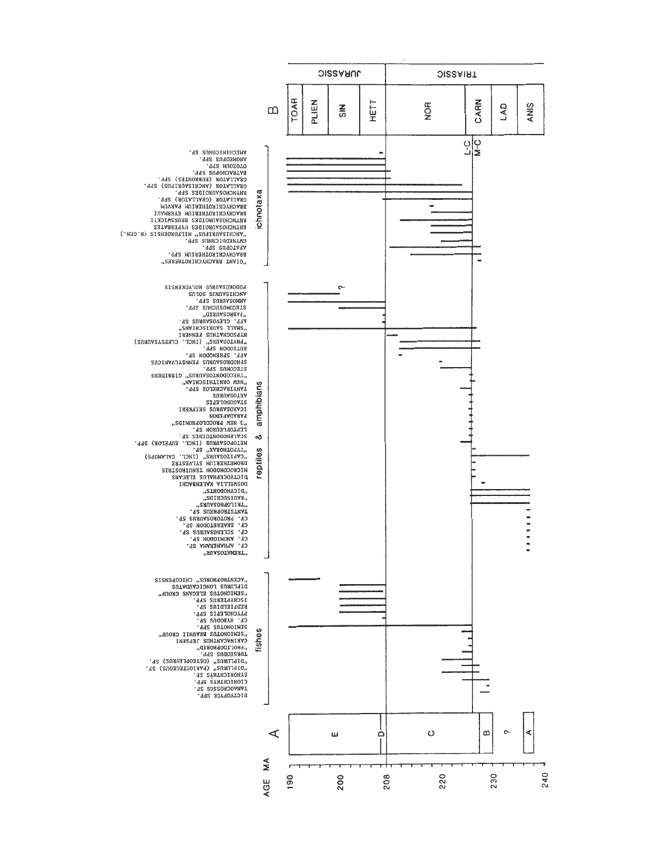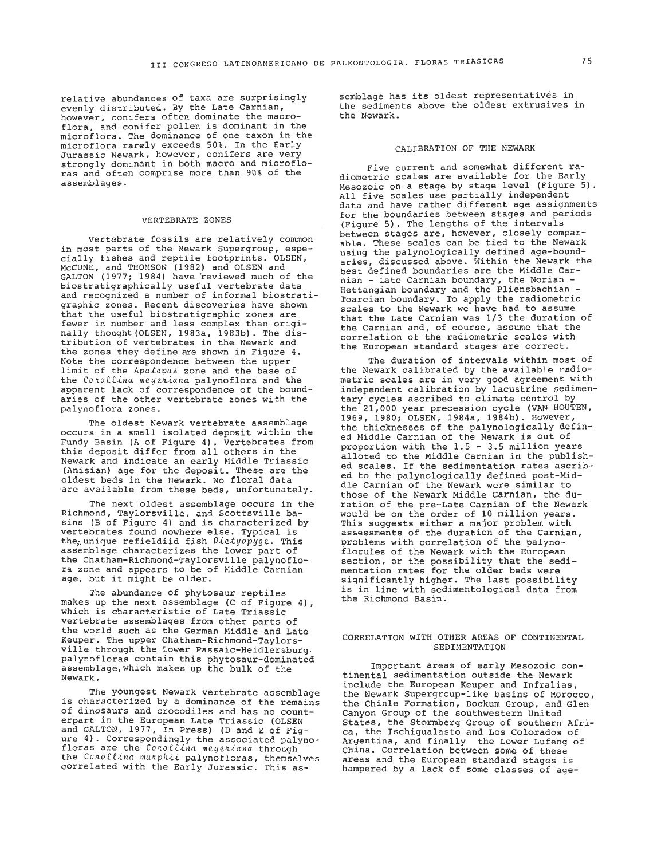relative abundances of taxa are surprisingly evenly distributed. By the Late Carnian,<br>however, conifers often dominate the macroflora, and conifer pollen is dominant in the microflora. The dominance of one taxon in the microflora rarely exceeds 50%. In the Early Jurassic Newark, however, conifers are very<br>strongly dominant in both macro and microflostrongly dominant in both more than 90% of the assemblages.

#### VERTEBRATE ZONES

Vertebrate fossils are relatively common in most parts of the Newark Supergroup, especially fishes and reptile footprints. OLSEN, McCUNE, and THOMSON (1982) and OLSEN and GALTON (1977; 1984) have reviewed much of the biostratigraphically useful vertebrate data and recognized a number of informal biostratigraphic zones. Recent discoveries have shown<br>that the useful biostratigraphic zones are fewer in number and less complex than originally thought(OLSEN, 1983a, 1983b). The distribution of vertebrates in the Newark and the zones they define are shown in Figure 4. Note the correspondence between the upper limit of the Apatopus zone and the base of the Corollina meyeriana palynoflora and the apparent lack of correspondence of the boundaries of the other vertebrate zones with the palynoflora zones.

The oldest Newark vertebrate assemblage occurs in a small isolated deposit within the Fundy Basin (A of Figure 4). Vertebrates from this deposit differ from all others in the Newark and indicate an early Middle Triassic (Anisian) age for the deposit. These are the oldest beds in the Newark. No floral data are available from these beds, unfortunately.

The next oldest assemblage occurs in the Richmond, Taylorsville, and Scottsville basins (B of Figure 4) and is characterized by vertebrates found nowhere else. Typical is the unique refieldiid fish  $\mathcal{D}icty\mathcal{O}py\mathcal{G}e$ . This assemblage characterizes the lower part of<br>the Chatham-Richmond-Taylorsville palynoflora zone and appears to be of Middle Carnian age, but it might be older.

The abundance of phytosaur reptiles makes up the next assemblage (C of Figure 4). which is characteristic of Late Triassic vertebrate assemblages from other parts of the world such as the German Middle and Late Keuper. The upper **Chatham-Richmond-Taylors**ville through the Lower Passaic-Heidlersburg. palynofloras contain this phytosaur-dominated assemblage, which makes up the bulk of the Newark.

The youngest Newark vertebrate assemblage is characterized by a dominance of the remains of dinosaurs and crocodiles and has no counterpart in the European Late Triassic (OLSEN and GALTON, 1977, In Press) **(D** and E of Fig- ure 4). Correspondingly the associated palynofloras are the Conollina meyeriana through the Conollina munphii palynofloras, themselves correlated with the Early Jurassic. This assemblage has its oldest representatives in the sediments above the oldest extrusives in the Newark.

# CALIBRATION OF THE NEWARK

Five current and somewhat different ra- diometric scales are available for the Early Mesozoic on a stage by stage level (Figure 5). All five scales use partially independent data and have rather different age assignments for the boundaries between stages and periods (Figure 5). The lengths of the intervals between stages are. however, closely comparable. These scales can be tied to the Newark using the palynologically defined age-boundaries, discussed above. Within the Newark the best defined boundaries are the Middle Carnian - Late Carnian boundary, the Norian - Hettangian boundary and the Pliensbachian -Toarcian boundary. To apply the radiometric scales to the Newark we have had to assume that the Late Carnian was 1/3 the duration of the Carnian and, of course, assume that the correlation of the radiometric scales with the European standard stages are correct.

The duration of intervals within most of the Newark calibrated by the available radiometric scales are in very good agreement with independent calibration by lacustrine sedimentary cycles ascribed to climate control by the 21,000 year precession cycle (VAN HOUTEN, 1969, 1980; OLSEN, 1984a, 1984b). However, the thicknesses of the palynologically defined Middle Carnian of the Newark is out of proportion with the 1.5 - 3.5 million years alloted to the Middle Carnian in the published scales. If the sedimentation rates ascribed to the palynologically defined post-Middie Carnian of the Newark were similar to those of the Newark Middle Carnian, the duration of the pre-Late Carnian of the Newark would be on the order of 10 million years. This suggests either a major problem with assessments of the duration of the Carnian, problems with correlation of the palynoflorules of the Newark with the European section, or the possibility that the sedi-<br>mentation rates for the older beds were significantly higher. The last possibility is in line with sedimentological data from the Richmond Basin.

# CORRELATION WITH OTHER AREAS OF CONTINENTAL 'SEDIMENTATION

Important areas of early Mesozoic con- tinental sedimentation outside the Newark include the European Keuper and Infralias, the Newark Supergroup-like basins of Morocco, the Chinle Formation, Dockum Group, and Glen Canyon Group of the southwestern United States, the Stormberg Group of southern Africa, the Ischiqualasto and Los Colorados of Argentina, and finally the Lower Lufeng of<br>China. Correlation between some of these areas and the European standard stages is hampered by a lack of some classes of age-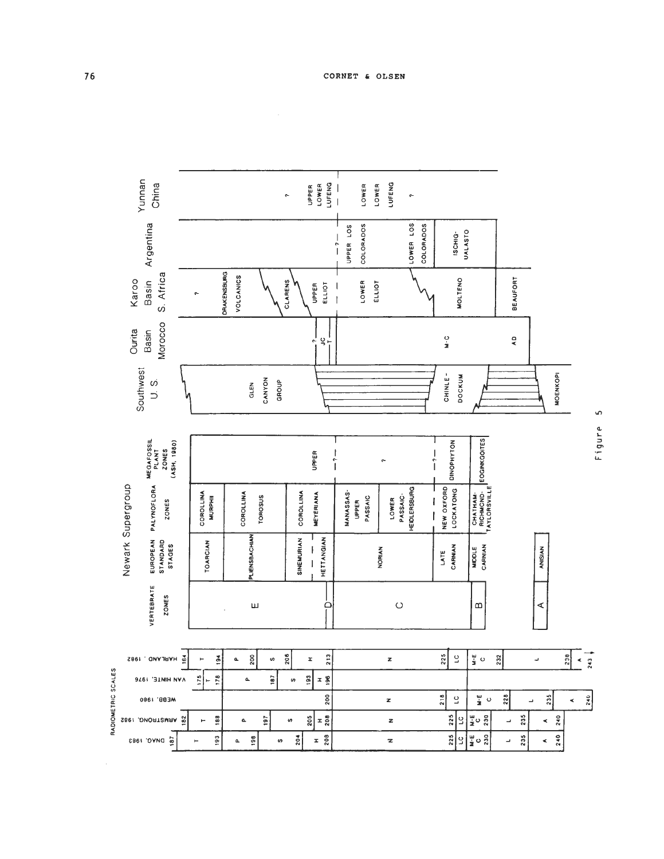

<u>မာ</u> Figure

 $\hat{\mathcal{A}}$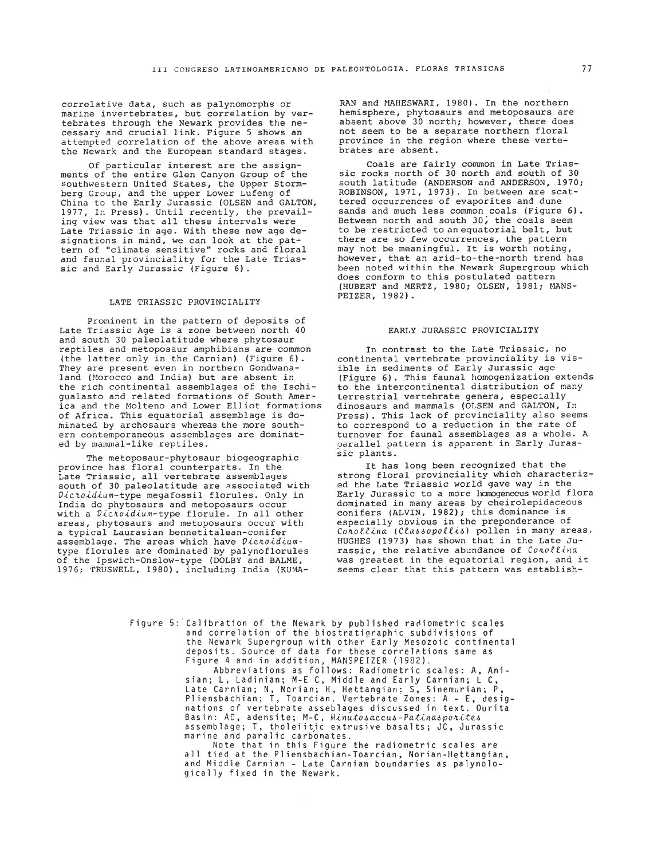correlative data, such as palynomorphs or<br>marine invertebrates, but correlation by ver-<br>tebrates through the Newark provides the ne-<br>cessary and crucial link. Figure 5 shows an attempted correlation of the above areas with the Newark and the European standard stages.

Of particular interest are the assignments of the entire Glen Canyon Group of the southwestern United States, the Upper Stormberg Group, and the upper Lower Lufeng of China to the Early Jurassic (OLSEN and GALTON, 1977, In Press). Until recently, the prevailing view was that all these intervals were Late Triassic in age. With these new age designations in mind, we can look at the pattern of "climate sensitive" rocks and floral and faunal provinciality for the Late Triassic and Early Jurassic (Figure 6).

# LATE TRIASSIC PROVINCIALITY

Prominent in the pattern of deposits of Late Triassic Age is a zone between north 40 and south 30 paleolatitude where phytosaur reptiles and metoposaur amphibians are common (the latter only in the Carnian) (Figure 6). They are present even in northern Gondwanaland (Morocco and India) but are absent in the rich continental assemblages of the Ischiqualasto and related formations of South America and the Molteno and Lower Elliot formations of Africa. This equatorial assemblage is dominated by archosaurs whereas the more south- ern contemporaneous assemblages are dominated by mammal-like reptiles.

The metoposaur-phytosaur biogeographic province has floral counterparts. In the Late Triassic, all vertebrate assemblages south of 30 paleolatitude are associated with Dictoidium-type megafossil florules. Only in India do phytosaurs and metoposaurs occur with a  $\mathcal{D}icr\bar{o}idium$ -type florule. In all other areas, phytosaurs and metoposaurs occur with a typical Laurasian bennetitalean-conifer assemblage. The areas which have  $\mathcal{D}icnotidium$ type florules are dominated by palynoflorules of the Ipswich-Onslow-type (DOLBY and BALME, 1976; TRUSWELL, 1980) , including India (KUMA-

RAN and HAHESWARI, 1980). In the northern hemisphere, phytosaurs and metoposaurs are absent above 30 north; however, there does not seem to be a separate northern floral province in the region where these vertebrates are absent.

Coals are fairly common in Late Triassic rocks north of 30 north and south of 30 south latitude (ANDERSON and ANDERSON, 1970; ROBINSON, 1971, 1973). In between are scattered occurrences of evaporites and dune sands and much less common coals (Figure 6).<br>Between north and south 30, the coals seem to be restricted to an equatorial belt, but there are so few occurrences, the pattern may not be meaningful. It is worth noting, however, that an arid-to-the-north trend has been noted within the Newark Supergroup which does conform to this postulated pattern (HUBERT and MERTZ, 1980; OLSEN, 1981; MANS-PEIZER, 1982).

### EARLY JURASSIC PROVICIALITY

In contrast to the Late Triassic, no continental vertebrate provinciality is visible in sediments of Early Jurassic age (Figure 6). This faunal homogenization extends to the intercontinental distribution of many terrestrial vertebrate genera, especially dinosaurs and mammals (OLSEN and GALTON, In Press). This lack of provinciality also seems to correspond to a reduction in the rate of turnover for faunal assemblages as a whole. A parallel pattern is apparent in Early Jurassic plants.

It has long been recognized that the strong floral provinciality which characterized the Late Triassic world gave way in the Early Jurassic to a more homogeneous world flora dominated in nany areas by cheirolepidaceous conifers (ALVIN, 1982); this dominance is especially obvious in the preponderance of<br>Conollina (Classopollis) pollen in many areas. HUGHES (1973) has shown that in the Late Ju-<br>rassic, the relative abundance of  $CostOfLina$ was greatest in the equatorial region, and it seems clear that this pattern was establish-

Figure 5:'Calibration of the Newark by published radiometric scales and correlation of the biostratiqraphic subdivisions of the Newark Supergroup with other Early Mesozoic continental deposits. Source of data for these correlations same as Figure 4 and in addition, MANSPEIZER (1982).

Abbreviations as follows: Radiometric scales: A, Anisian; L, Ladinian; M-E C, Middle and Early Carnian; L C, Late Carnian; N, Norian; H, Hettangian: S, Sinemurian; P,<br>Pliensbachian; T, Toarcian. Vertebrate Zones: A - E, designations of vertebrate asseblages discussed in text. Ourita Basin: AD, adensite; M-C, Minutosaccus-Patinasporites assemblage; T, tholeiitjc extrusive basalts; JC, Jurassic marine and paralic carbonates.

Note that in this Figure the radiometric scales are all tied at the Pliensbachian-Toarcian, Norian-Hettangian, and Middle Carnian - Late Carnian boundaries as palynologically fixed in the Newark.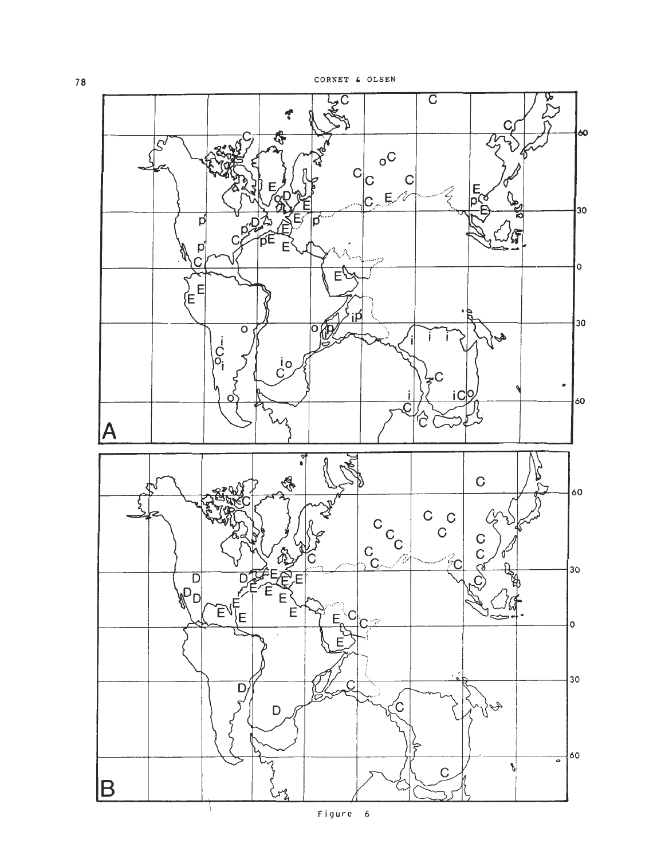

78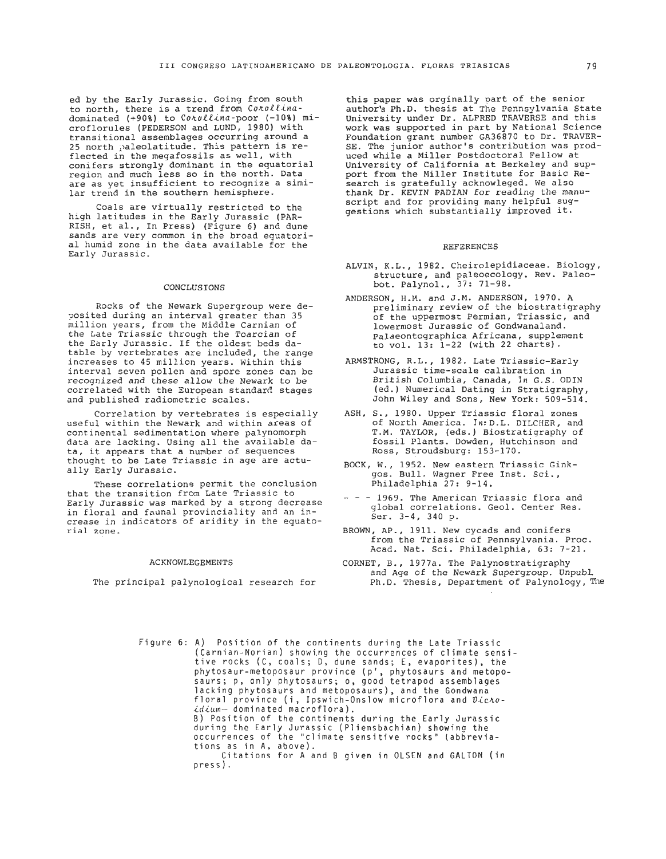ed by the Early Jurassic. Going from south to north, there is a trend from Conollinadominated (+90%) to Conollina-poor (-10%) microflorules (PEDERSON and LUND, 1980) with<br>transitional assemblages occurring around a 25 north paleolatitude. This pattern is reflected in the megafossils as well, with conifers strongly dominant in the equatorial region and much less so in the north. Data<br>are as yet insufficient to recognize a similar trend in the southern hemisphere.

Coals are virtually restricted to the high latitudes in the Early Jurassic (PAR-RISH, et al., In Press) (Figure 6) and dune sands are very common in the broad equatorial humid zone in the data available for the Early Jurassic.

## CONCLUSIONS

Rocks of the Newark Supergroup were deposited during an interval greater than 35 million years, from the Middle Carnian of the Late Triassic through the Toarcian of the Early Jurassic. If the oldest beds datable by vertebrates are included, the range increases to 45 million years. Within this interval seven pollen and spore zones can be recognized and these allow the Newark to be correlated with the European standard stages and published radiometric scales.

Correlation by vertebrates is especially useful within the Newark and within areas of continental sedimentation where palynomorph data are lacking. Using all the available data, it appears that a number of sequences thought to be Late Triassic in age are actually Early Jurassic.

These correlations permit the conclusion that the transition from Late Triassic to Early Jurassic was marked by a strong decrease in floral and faunal provinciality and an increase in indicators of aridity in the equatorial zone.

#### ACKNOWLEGEMENTS

The principal palynoloqical research for

this paper was orginally part of the senior author's Ph.D. thesis at The Pennsylvania State University under Dr. ALFRED TRAVERSE and this work was supported in part by National Science Foundation grant number GA36870 to Dr. TRAVER-SE. The junior author's contribution was produced while a Miller Postdoctoral Fellow at University of California at Berkeley and support from the Miller Institute for Basic Research is gratefully acknowleqed. We also thank Dr. KEVIN PADIAN for reading the manuscript and for providing many helpful suggestions which substantially improved it.

#### REFERENCES

- ALVIN, K.L., 1982. Cheirolepidiaceae. Biology, structure, and paleoecology. Rev. Paleohot. Palynol., 37: 71-98.
- ANDERSON, H.M. and J.M. ANDERSON, 1970. A preliminary review of the biostratigraphy of the uppermost Permian, Triassic, and lowermost Jurassic of Gondwanaland. Palaeontographica Africana, supplement to vol. 13: 1-22 (with 22 charts).
- ARMSTRONG, R.L., 1982. Late Triassic-Early Jurassic time-scale calibration in British Columbia, Canada, In G.S. ODIN (ed.) Numerical Dating in Stratigraphy, John Wiley and Sons, New York: 509-514.
- ASH, S., 1980. Upper Triassic floral zones of North America. 1n:D.L. DILCHER, and T.M. TAYLOR, (eds.) Biostratigraphy of fossil Plants. Dowden, Hutchinson and Ross, Stroudsburg: 153-170.
- BOCK, W., 1952. New eastern Triassic Ginkgos. Bull. Wagner Free Inst. Sci., Philadelphia 27: 9-14.
- - 1969. The American Triassic flora and global correlations. Geol. Center Res. Ser. 3-4, 340 p.
- BROWN, AP., 1911. New cycads and conifers from the Triassic of Pennsylvania. Proc. Acad. Nat. Sci. Philadelphia, 63: 7-21.
- CORNET, B., 1977a. The Palynostratigraphy and Age of the Newark Supergroup. UnpubL Ph.D. Thesis, Department of Palynology, Hie

Figure 6: A) Position of the continents during the Late Triassic (Carnian-Norian) showi.ng the occurrences of climate sensitive rocks (C, coals; D, dune sands; E, evaporites), the phytosaur-metoposaur province (p', phytosaurs and metoposaurs; p, only phytosaurs; o, good tetrapod assemblages lacking phytosaurs and metoposaurs), and the Gondwana floral province (i, Ipswich-Onslow microflora and Dichoidium- dominated macroflora). B) Position of the continents during the Early Jurassic during the Early Jurassic (Pliensbachian) showing the occurrences of the "climate sensitive rocks" (abbreviations as in A. above). Citations for A and B given in OLSEN and GALTON (in press).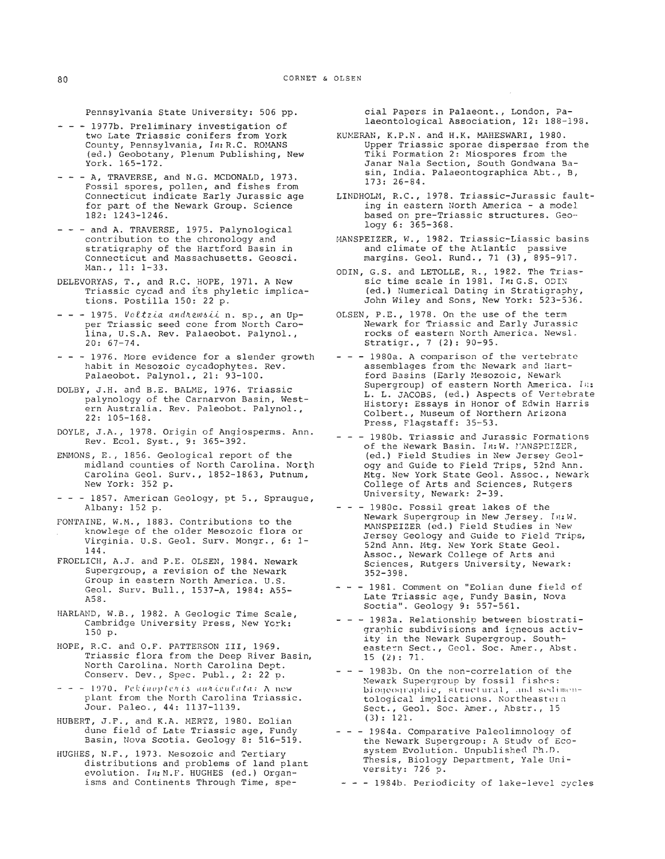Pennsylvania State University: 506 pp.

- --- 1977b. Preliminary investigation of two Late Triassic conifers from York County, Pennsylvania, In: R.C. ROMANS (ed.) Geobotany, Plenum Publishing, New York. 165-172.
- - A, TRAVERSE, and N.G. MCDONALD, 1973. Fossil spores, pollen, and fishes from Connecticut indicate Early Jurassic age for part of the Newark Group. Science 182: 1243-1246.
- --- and A. TRAVERSE, 1975. Palynological contribution to the chronology and stratigraphy of the Hartford Basin in Connecticut and Massachusetts. Geosci. Man., 11: 1-33.
- DELEVORYAS, T., and R.C. HOPE, 1971. A New Triassic cycad and i'ts phyletic implications. Postilla 150: 22 p.
- $-$  1975. Voltzia andrewsii n. sp., an Upper Triassic seed cone from North Carolina, U.S.A. Rev. Palaeobot. Palynol., 20: 67-74.
- - 1976. More evidence for a slender growth habit in Mesozoic cycadophytes. Rev. Palaeobot. Palynol., 21: 93-100.
- DOLBY, J.H. and B.E. BALME, 1976. Triassic palynology of the Carnarvon Basin, West- ern Australia. Rev. Paleobot. Palynol., 22: 105-168.
- DOYLE, J.A., 1978. Origin of Angiosperms. Ann. Rev. Ecol. Syst., 9: 365-392.
- EMMONS, E., 1856. Geological report of the midland counties of North Carolina. North Carolina Geol. Surv., 1852-1863, Putnum, New York: 352 p.
- - 1857. American Geology, pt 5., Spraugue, Albany: 152 p.
- FONTAINE, W.M., 1883. Contributions to the knowleqe of the older Mesozoic flora or Virginia. U.S. Geol. Surv. Mongr., 6: 1- 144.
- FROELICH, A.J. and P.E. OLSEN, 1984. Newark Supergroup, a revision of the Newark Group in eastern North America. U.S. Geol. Surv. Bull., 1537-A, 1984: A55- ASS.
- HARLAND, W.B., 1982. A Geologic Time Scale, Cambridge University Press, New York: 150 p.
- HOPE, R.C. and O.F. PATTERSON 111, 1969. Triassic flora from the Deep River Basin, North Carolina. North Carolina Dept. Conserv. Dev., Spec. Publ., 2: 22 p.
- $- 1970$ . Pekinoptenis auniculata: A new plant from the North Carolina Triassic. Jour. Paleo., 44: 1137-1139.
- HUBERT, J.F., and K.A. MERTZ, 1980. Eolian dune field of Late Triassic age, Fundy Basin, Nova Scotia. Geology 8: 516-519.
- HUGHES, N.F., 1973. Mesozoic and Tertiary distributions and problems of land plant evolution. 1 n: **M.** F. HUGHES (ed. ) Organisms and Continents Through Time, spe-

cial Papers in Palaeont., London, Palaeontological Association, 12: 188-198.

- KUKERAH, K.P.N. and H.K. MAHESWARI, 1980. Upper Triassic sporae dispersae from the Tiki Formation 2: Miospores from the Janar Nala Section, South Gondwana Basin, India. Palaeontographica Abt., B, 173: 26-84.
- LINDHOLM, R.C., 1978. Triassic-Jurassic faulting in eastern North America - a model based on pre-Triassic structures. Geology 6: 365-368.
- MANSPEIZER, **W.,** 1982. Triassic-Liassic basins and climate of the Atlantic passive margins. Geol. Rund., 71 **(3),** 895-917.
- ODIN, G.S. and LETOLLE, R., 1982. The Triassic time scale in 1981. In: G.S. ODIM (ed.) Numerical Dating in Stratigraohy, John Wiley and Sons, New York: 523-536.
- OLSEN, P.E., 1978. On the use of the term Newark for Triassic and Early Jurassic rocks of eastern North America. Newsl. Stratigr., 7 (2): 90-95.
- - 1980a. A comparison of the vertebrate assemblages from the Newark and Hartford Basins (Early Mesozoic, Newark Supergroup) of eastern North America. 1 **I::**  L. L. JACOBS, (ed.) Aspects of Vertebrate History: Essays in Honor of Edwin Harris Colbert., Museum of Northern Arizona Press, Flagstaff: 35-53.
- 1980b. Triassic and Jurassic Formations<br>of the Newark Basin. *In:W. MANSPEIZER*, (ed.) Field Studies in Mew Jersey Geology and Guide to Field Trips, 52nd Ann. Mtg. New York State Geol. Assoc., Newark College of Arts and Sciences, Rutgers University, Newark: 2-39.
- $- 1980c$ . Fossil great lakes of the Newark Supergroup in New Jersey. **1t1:** W. MANSPEIZER (ed.) Field Studies in New Jersey Geology and Guide to Field Trips, 52nd Ann. Mtg. New York State Geol. Assoc., Newark College of Arts and Sciences, Rutgers University, Newark: 352-398.
- - 1981. Comment on "Eolian dune field of Late Triassic age, Fundy Basin, Nova Soctia". Geology 9: 557-561.
- - 1983a. Relationship between biostratigraphic subdivisions and igneous activity in the Newark Supergroup. Southeastern Sect., Geol. Soc. Amer., Abst. 15 **(2):** 71.
- - 1983b. On the non-correlation of the Newark Supergroup by fossil fishes: biogeographic, structural, and sedimentological implications. Northeastern Sect., Geol. Soc. Amer., Abstr., 15 (3) : 121.
- - 1984a. Comparative Paleolimnology of the Newark Supergroup: A Study of Ecosystem Evolution. Unpublished Ph.D. Thesis, Biology Department, Yale University: 726 p.
- - 19S4b. Periodicity of lake-level cycles

80